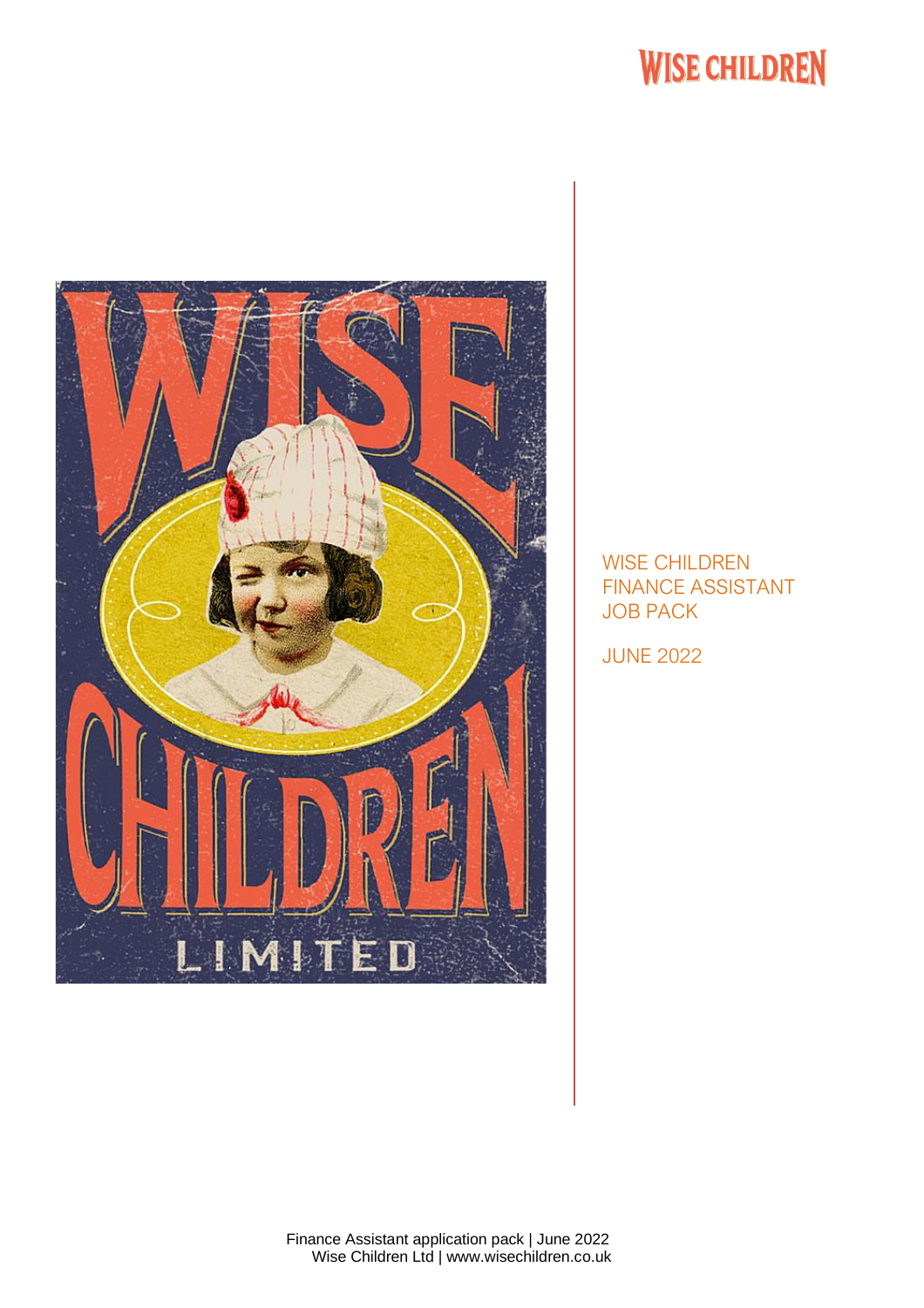

### WISE CHILDREN FINANCE ASSISTANT JOB PACK

JUNE 2022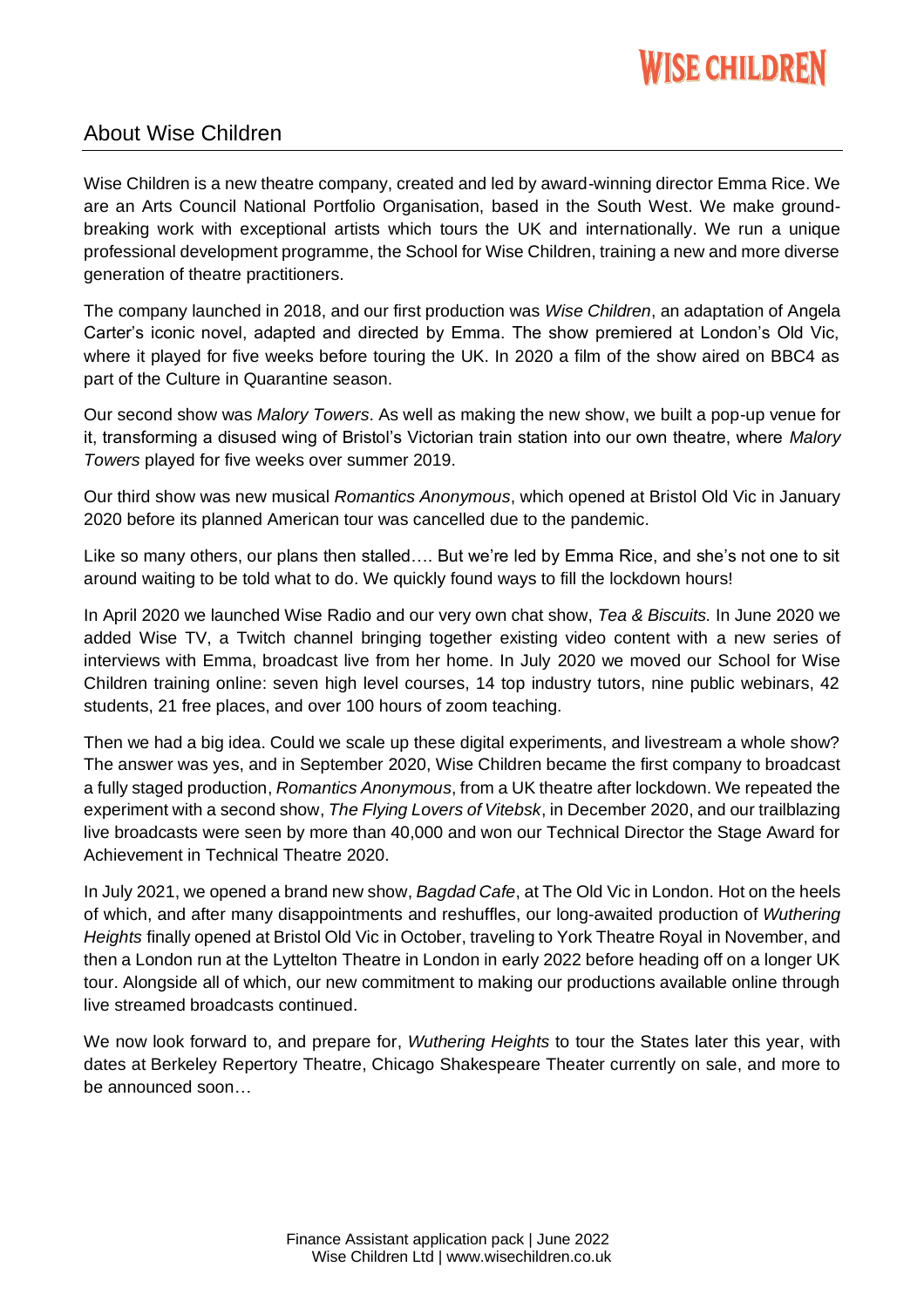### About Wise Children

Wise Children is a new theatre company, created and led by award-winning director Emma Rice. We are an Arts Council National Portfolio Organisation, based in the South West. We make groundbreaking work with exceptional artists which tours the UK and internationally. We run a unique professional development programme, the School for Wise Children, training a new and more diverse generation of theatre practitioners.

The company launched in 2018, and our first production was *Wise Children*, an adaptation of Angela Carter's iconic novel, adapted and directed by Emma. The show premiered at London's Old Vic, where it played for five weeks before touring the UK. In 2020 a film of the show aired on BBC4 as part of the Culture in Quarantine season.

Our second show was *Malory Towers*. As well as making the new show, we built a pop-up venue for it, transforming a disused wing of Bristol's Victorian train station into our own theatre, where *Malory Towers* played for five weeks over summer 2019.

Our third show was new musical *Romantics Anonymous*, which opened at Bristol Old Vic in January 2020 before its planned American tour was cancelled due to the pandemic.

Like so many others, our plans then stalled…. But we're led by Emma Rice, and she's not one to sit around waiting to be told what to do. We quickly found ways to fill the lockdown hours!

In April 2020 we launched Wise Radio and our very own chat show, *Tea & Biscuits.* In June 2020 we added Wise TV, a Twitch channel bringing together existing video content with a new series of interviews with Emma, broadcast live from her home. In July 2020 we moved our School for Wise Children training online: seven high level courses, 14 top industry tutors, nine public webinars, 42 students, 21 free places, and over 100 hours of zoom teaching.

Then we had a big idea. Could we scale up these digital experiments, and livestream a whole show? The answer was yes, and in September 2020, Wise Children became the first company to broadcast a fully staged production, *Romantics Anonymous*, from a UK theatre after lockdown. We repeated the experiment with a second show, *The Flying Lovers of Vitebsk*, in December 2020, and our trailblazing live broadcasts were seen by more than 40,000 and won our Technical Director the Stage Award for Achievement in Technical Theatre 2020.

In July 2021, we opened a brand new show, *Bagdad Cafe*, at The Old Vic in London. Hot on the heels of which, and after many disappointments and reshuffles, our long-awaited production of *Wuthering Heights* finally opened at Bristol Old Vic in October, traveling to York Theatre Royal in November, and then a London run at the Lyttelton Theatre in London in early 2022 before heading off on a longer UK tour. Alongside all of which, our new commitment to making our productions available online through live streamed broadcasts continued.

We now look forward to, and prepare for, *Wuthering Heights* to tour the States later this year, with dates at Berkeley Repertory Theatre, Chicago Shakespeare Theater currently on sale, and more to be announced soon…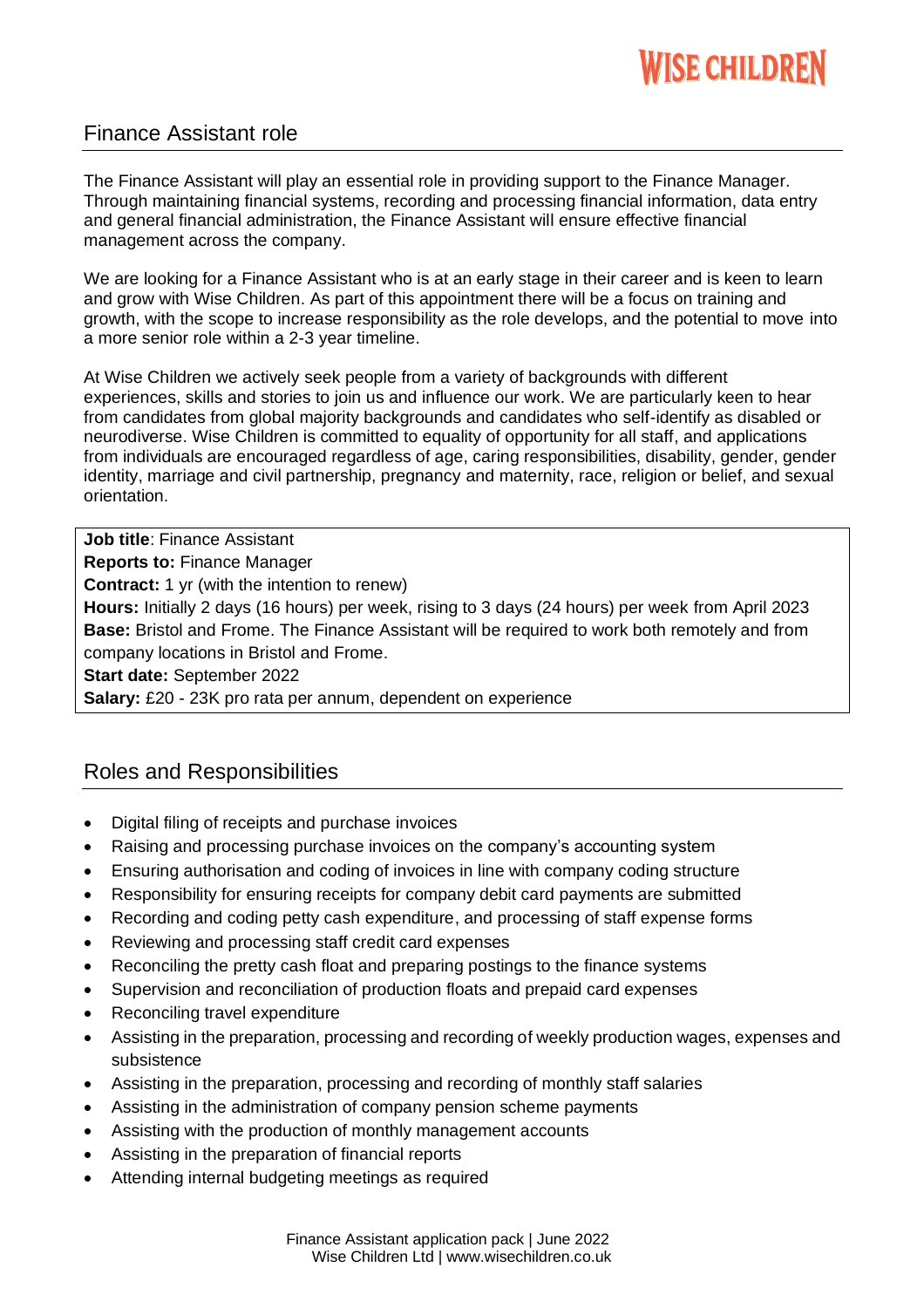### Finance Assistant role

The Finance Assistant will play an essential role in providing support to the Finance Manager. Through maintaining financial systems, recording and processing financial information, data entry and general financial administration, the Finance Assistant will ensure effective financial management across the company.

We are looking for a Finance Assistant who is at an early stage in their career and is keen to learn and grow with Wise Children. As part of this appointment there will be a focus on training and growth, with the scope to increase responsibility as the role develops, and the potential to move into a more senior role within a 2-3 year timeline.

At Wise Children we actively seek people from a variety of backgrounds with different experiences, skills and stories to join us and influence our work. We are particularly keen to hear from candidates from global majority backgrounds and candidates who self-identify as disabled or neurodiverse. Wise Children is committed to equality of opportunity for all staff, and applications from individuals are encouraged regardless of age, caring responsibilities, disability, gender, gender identity, marriage and civil partnership, pregnancy and maternity, race, religion or belief, and sexual orientation.

**Job title**: Finance Assistant **Reports to:** Finance Manager **Contract:** 1 yr (with the intention to renew) **Hours:** Initially 2 days (16 hours) per week, rising to 3 days (24 hours) per week from April 2023 **Base:** Bristol and Frome. The Finance Assistant will be required to work both remotely and from company locations in Bristol and Frome. **Start date:** September 2022 **Salary:** £20 - 23K pro rata per annum, dependent on experience

### Roles and Responsibilities

- Digital filing of receipts and purchase invoices
- Raising and processing purchase invoices on the company's accounting system
- Ensuring authorisation and coding of invoices in line with company coding structure
- Responsibility for ensuring receipts for company debit card payments are submitted
- Recording and coding petty cash expenditure, and processing of staff expense forms
- Reviewing and processing staff credit card expenses
- Reconciling the pretty cash float and preparing postings to the finance systems
- Supervision and reconciliation of production floats and prepaid card expenses
- Reconciling travel expenditure
- Assisting in the preparation, processing and recording of weekly production wages, expenses and subsistence
- Assisting in the preparation, processing and recording of monthly staff salaries
- Assisting in the administration of company pension scheme payments
- Assisting with the production of monthly management accounts
- Assisting in the preparation of financial reports
- Attending internal budgeting meetings as required